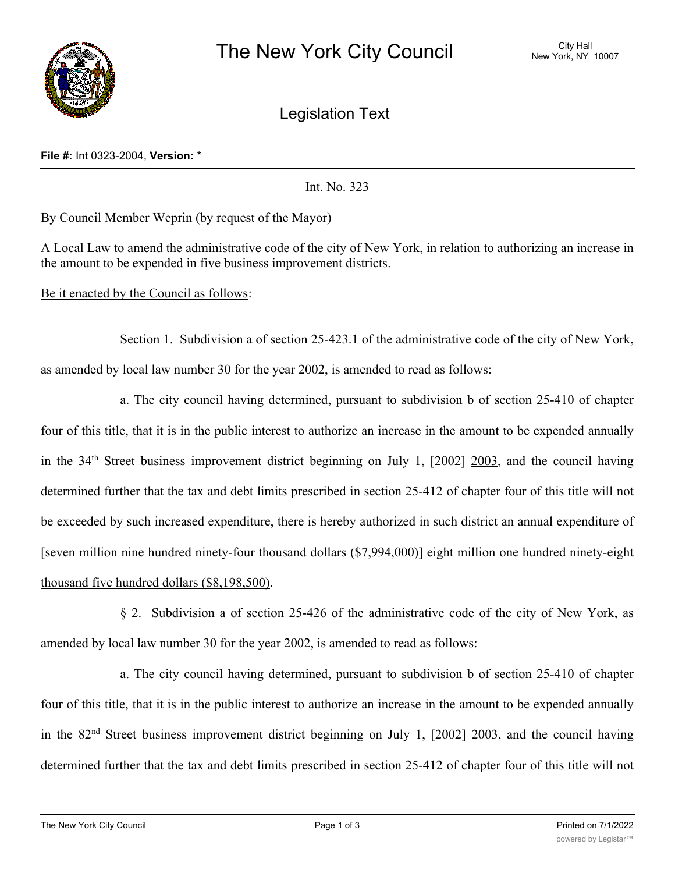

Legislation Text

## **File #:** Int 0323-2004, **Version:** \*

Int. No. 323

By Council Member Weprin (by request of the Mayor)

A Local Law to amend the administrative code of the city of New York, in relation to authorizing an increase in the amount to be expended in five business improvement districts.

Be it enacted by the Council as follows:

Section 1. Subdivision a of section 25-423.1 of the administrative code of the city of New York, as amended by local law number 30 for the year 2002, is amended to read as follows:

a. The city council having determined, pursuant to subdivision b of section 25-410 of chapter four of this title, that it is in the public interest to authorize an increase in the amount to be expended annually in the 34th Street business improvement district beginning on July 1, [2002] 2003, and the council having determined further that the tax and debt limits prescribed in section 25-412 of chapter four of this title will not be exceeded by such increased expenditure, there is hereby authorized in such district an annual expenditure of [seven million nine hundred ninety-four thousand dollars (\$7,994,000)] eight million one hundred ninety-eight thousand five hundred dollars (\$8,198,500).

§ 2. Subdivision a of section 25-426 of the administrative code of the city of New York, as amended by local law number 30 for the year 2002, is amended to read as follows:

a. The city council having determined, pursuant to subdivision b of section 25-410 of chapter four of this title, that it is in the public interest to authorize an increase in the amount to be expended annually in the 82nd Street business improvement district beginning on July 1, [2002] 2003, and the council having determined further that the tax and debt limits prescribed in section 25-412 of chapter four of this title will not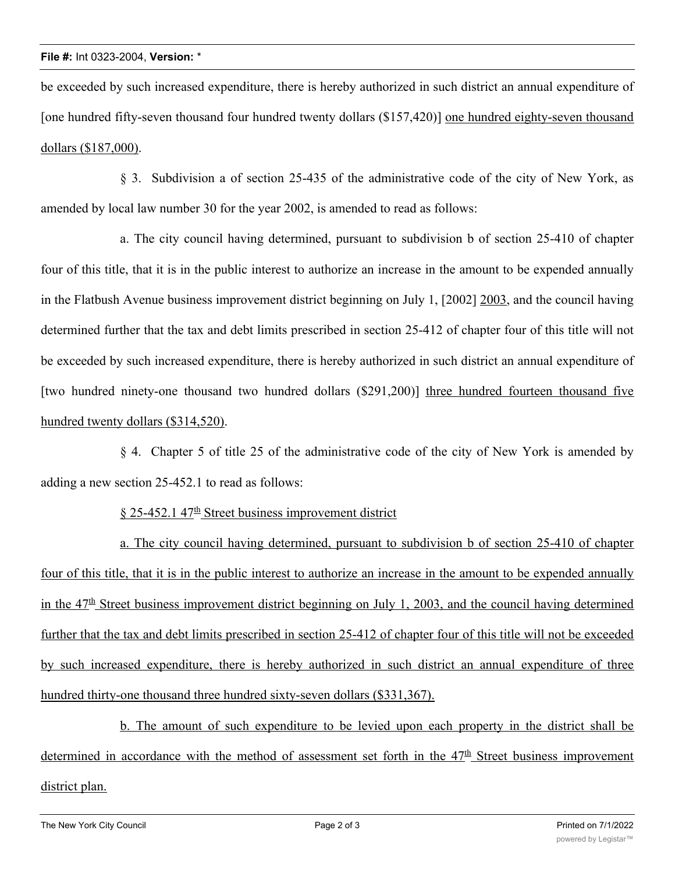be exceeded by such increased expenditure, there is hereby authorized in such district an annual expenditure of [one hundred fifty-seven thousand four hundred twenty dollars (\$157,420)] one hundred eighty-seven thousand dollars (\$187,000).

§ 3. Subdivision a of section 25-435 of the administrative code of the city of New York, as amended by local law number 30 for the year 2002, is amended to read as follows:

a. The city council having determined, pursuant to subdivision b of section 25-410 of chapter four of this title, that it is in the public interest to authorize an increase in the amount to be expended annually in the Flatbush Avenue business improvement district beginning on July 1, [2002] 2003, and the council having determined further that the tax and debt limits prescribed in section 25-412 of chapter four of this title will not be exceeded by such increased expenditure, there is hereby authorized in such district an annual expenditure of [two hundred ninety-one thousand two hundred dollars (\$291,200)] three hundred fourteen thousand five hundred twenty dollars (\$314,520).

§ 4. Chapter 5 of title 25 of the administrative code of the city of New York is amended by adding a new section 25-452.1 to read as follows:

 $§$  25-452.1 47<sup>th</sup> Street business improvement district

a. The city council having determined, pursuant to subdivision b of section 25-410 of chapter four of this title, that it is in the public interest to authorize an increase in the amount to be expended annually in the  $47<sup>th</sup>$  Street business improvement district beginning on July 1, 2003, and the council having determined further that the tax and debt limits prescribed in section 25-412 of chapter four of this title will not be exceeded by such increased expenditure, there is hereby authorized in such district an annual expenditure of three hundred thirty-one thousand three hundred sixty-seven dollars (\$331,367).

b. The amount of such expenditure to be levied upon each property in the district shall be determined in accordance with the method of assessment set forth in the  $47<sup>th</sup>$  Street business improvement district plan.